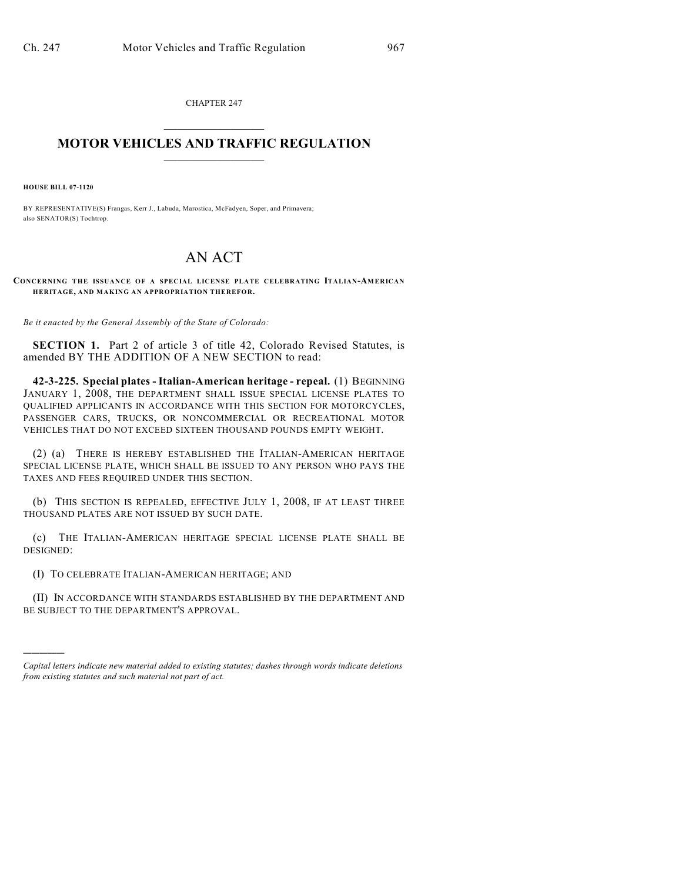CHAPTER 247  $\overline{\phantom{a}}$  . The set of the set of the set of the set of the set of the set of the set of the set of the set of the set of the set of the set of the set of the set of the set of the set of the set of the set of the set o

## **MOTOR VEHICLES AND TRAFFIC REGULATION**  $\frac{1}{2}$  ,  $\frac{1}{2}$  ,  $\frac{1}{2}$  ,  $\frac{1}{2}$  ,  $\frac{1}{2}$  ,  $\frac{1}{2}$  ,  $\frac{1}{2}$  ,  $\frac{1}{2}$

**HOUSE BILL 07-1120**

)))))

BY REPRESENTATIVE(S) Frangas, Kerr J., Labuda, Marostica, McFadyen, Soper, and Primavera; also SENATOR(S) Tochtrop.

## AN ACT

**CONCERNING THE ISSUANCE OF A SPECIAL LICENSE PLATE CELEBRATING ITALIAN-AMERICAN HERITAGE, AND MAKING AN APPROPRIATION THEREFOR.**

*Be it enacted by the General Assembly of the State of Colorado:*

**SECTION 1.** Part 2 of article 3 of title 42, Colorado Revised Statutes, is amended BY THE ADDITION OF A NEW SECTION to read:

**42-3-225. Special plates - Italian-American heritage - repeal.** (1) BEGINNING JANUARY 1, 2008, THE DEPARTMENT SHALL ISSUE SPECIAL LICENSE PLATES TO QUALIFIED APPLICANTS IN ACCORDANCE WITH THIS SECTION FOR MOTORCYCLES, PASSENGER CARS, TRUCKS, OR NONCOMMERCIAL OR RECREATIONAL MOTOR VEHICLES THAT DO NOT EXCEED SIXTEEN THOUSAND POUNDS EMPTY WEIGHT.

(2) (a) THERE IS HEREBY ESTABLISHED THE ITALIAN-AMERICAN HERITAGE SPECIAL LICENSE PLATE, WHICH SHALL BE ISSUED TO ANY PERSON WHO PAYS THE TAXES AND FEES REQUIRED UNDER THIS SECTION.

(b) THIS SECTION IS REPEALED, EFFECTIVE JULY 1, 2008, IF AT LEAST THREE THOUSAND PLATES ARE NOT ISSUED BY SUCH DATE.

(c) THE ITALIAN-AMERICAN HERITAGE SPECIAL LICENSE PLATE SHALL BE DESIGNED:

(I) TO CELEBRATE ITALIAN-AMERICAN HERITAGE; AND

(II) IN ACCORDANCE WITH STANDARDS ESTABLISHED BY THE DEPARTMENT AND BE SUBJECT TO THE DEPARTMENT'S APPROVAL.

*Capital letters indicate new material added to existing statutes; dashes through words indicate deletions from existing statutes and such material not part of act.*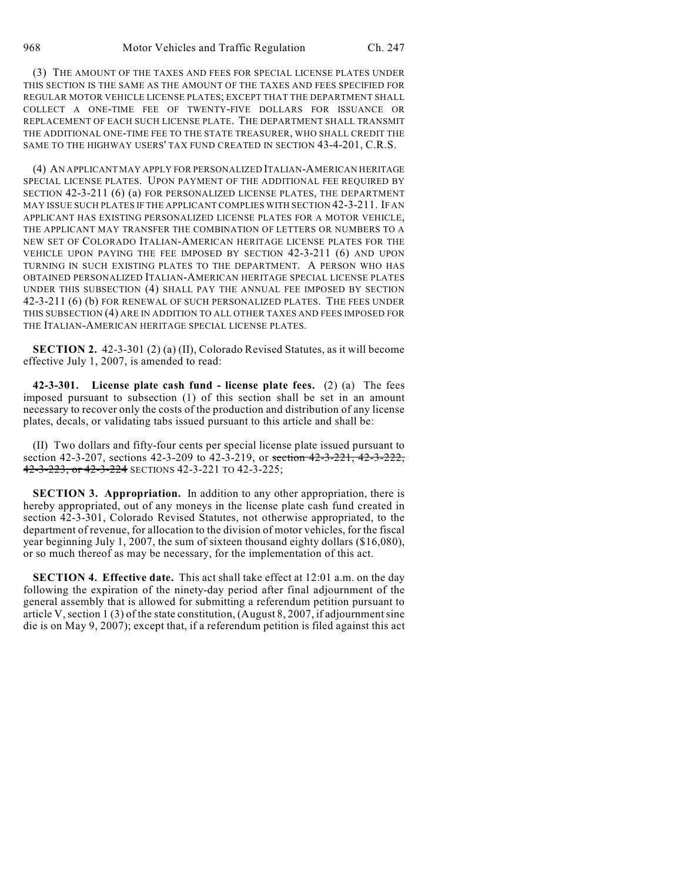(3) THE AMOUNT OF THE TAXES AND FEES FOR SPECIAL LICENSE PLATES UNDER THIS SECTION IS THE SAME AS THE AMOUNT OF THE TAXES AND FEES SPECIFIED FOR REGULAR MOTOR VEHICLE LICENSE PLATES; EXCEPT THAT THE DEPARTMENT SHALL COLLECT A ONE-TIME FEE OF TWENTY-FIVE DOLLARS FOR ISSUANCE OR REPLACEMENT OF EACH SUCH LICENSE PLATE. THE DEPARTMENT SHALL TRANSMIT THE ADDITIONAL ONE-TIME FEE TO THE STATE TREASURER, WHO SHALL CREDIT THE SAME TO THE HIGHWAY USERS' TAX FUND CREATED IN SECTION 43-4-201, C.R.S.

(4) AN APPLICANT MAY APPLY FOR PERSONALIZED ITALIAN-AMERICAN HERITAGE SPECIAL LICENSE PLATES. UPON PAYMENT OF THE ADDITIONAL FEE REQUIRED BY SECTION 42-3-211 (6) (a) FOR PERSONALIZED LICENSE PLATES, THE DEPARTMENT MAY ISSUE SUCH PLATES IF THE APPLICANT COMPLIES WITH SECTION 42-3-211. IF AN APPLICANT HAS EXISTING PERSONALIZED LICENSE PLATES FOR A MOTOR VEHICLE, THE APPLICANT MAY TRANSFER THE COMBINATION OF LETTERS OR NUMBERS TO A NEW SET OF COLORADO ITALIAN-AMERICAN HERITAGE LICENSE PLATES FOR THE VEHICLE UPON PAYING THE FEE IMPOSED BY SECTION 42-3-211 (6) AND UPON TURNING IN SUCH EXISTING PLATES TO THE DEPARTMENT. A PERSON WHO HAS OBTAINED PERSONALIZED ITALIAN-AMERICAN HERITAGE SPECIAL LICENSE PLATES UNDER THIS SUBSECTION (4) SHALL PAY THE ANNUAL FEE IMPOSED BY SECTION 42-3-211 (6) (b) FOR RENEWAL OF SUCH PERSONALIZED PLATES. THE FEES UNDER THIS SUBSECTION (4) ARE IN ADDITION TO ALL OTHER TAXES AND FEES IMPOSED FOR THE ITALIAN-AMERICAN HERITAGE SPECIAL LICENSE PLATES.

**SECTION 2.** 42-3-301 (2) (a) (II), Colorado Revised Statutes, as it will become effective July 1, 2007, is amended to read:

**42-3-301. License plate cash fund - license plate fees.** (2) (a) The fees imposed pursuant to subsection (1) of this section shall be set in an amount necessary to recover only the costs of the production and distribution of any license plates, decals, or validating tabs issued pursuant to this article and shall be:

(II) Two dollars and fifty-four cents per special license plate issued pursuant to section 42-3-207, sections 42-3-209 to 42-3-219, or section 42-3-221, 42-3-222, 42-3-223, or 42-3-224 SECTIONS 42-3-221 TO 42-3-225;

**SECTION 3. Appropriation.** In addition to any other appropriation, there is hereby appropriated, out of any moneys in the license plate cash fund created in section 42-3-301, Colorado Revised Statutes, not otherwise appropriated, to the department of revenue, for allocation to the division of motor vehicles, for the fiscal year beginning July 1, 2007, the sum of sixteen thousand eighty dollars (\$16,080), or so much thereof as may be necessary, for the implementation of this act.

**SECTION 4. Effective date.** This act shall take effect at 12:01 a.m. on the day following the expiration of the ninety-day period after final adjournment of the general assembly that is allowed for submitting a referendum petition pursuant to article V, section 1 (3) of the state constitution, (August 8, 2007, if adjournment sine die is on May 9, 2007); except that, if a referendum petition is filed against this act